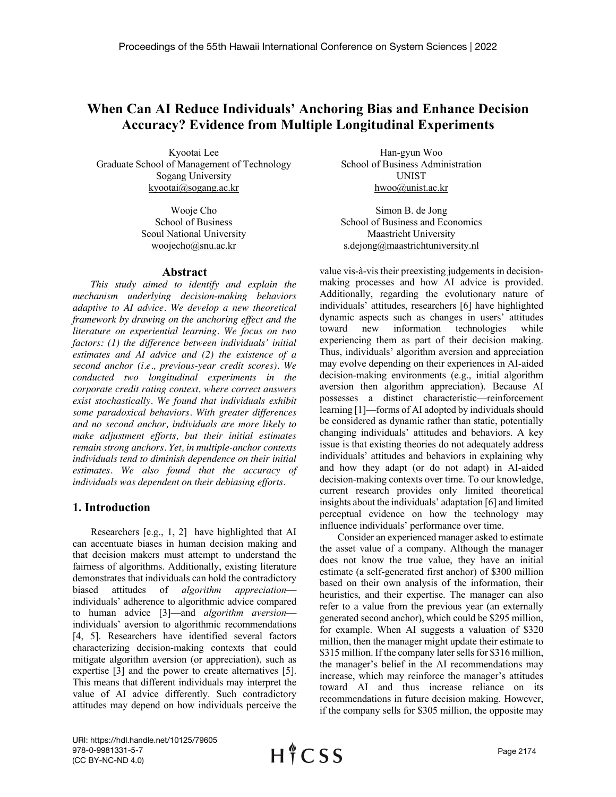# **When Can AI Reduce Individuals' Anchoring Bias and Enhance Decision Accuracy? Evidence from Multiple Longitudinal Experiments**

Kyootai Lee Graduate School of Management of Technology Sogang University kyootai@sogang.ac.kr

> Wooje Cho School of Business Seoul National University woojecho@snu.ac.kr

### **Abstract**

*This study aimed to identify and explain the mechanism underlying decision-making behaviors adaptive to AI advice. We develop a new theoretical framework by drawing on the anchoring effect and the literature on experiential learning. We focus on two factors: (1) the difference between individuals' initial estimates and AI advice and (2) the existence of a second anchor (i.e., previous-year credit scores). We conducted two longitudinal experiments in the corporate credit rating context, where correct answers exist stochastically. We found that individuals exhibit some paradoxical behaviors. With greater differences and no second anchor, individuals are more likely to make adjustment efforts, but their initial estimates remain strong anchors. Yet, in multiple-anchor contexts individuals tend to diminish dependence on their initial estimates. We also found that the accuracy of individuals was dependent on their debiasing efforts.* 

# **1. Introduction**

Researchers [e.g., 1, 2] have highlighted that AI can accentuate biases in human decision making and that decision makers must attempt to understand the fairness of algorithms. Additionally, existing literature demonstrates that individuals can hold the contradictory biased attitudes of *algorithm appreciation* individuals' adherence to algorithmic advice compared to human advice [3]—and *algorithm aversion* individuals' aversion to algorithmic recommendations [4, 5]. Researchers have identified several factors characterizing decision-making contexts that could mitigate algorithm aversion (or appreciation), such as expertise [3] and the power to create alternatives [5]. This means that different individuals may interpret the value of AI advice differently. Such contradictory attitudes may depend on how individuals perceive the

Han-gyun Woo School of Business Administration UNIST hwoo@unist.ac.kr

Simon B. de Jong School of Business and Economics Maastricht University s.dejong@maastrichtuniversity.nl

value vis-à-vis their preexisting judgements in decisionmaking processes and how AI advice is provided. Additionally, regarding the evolutionary nature of individuals' attitudes, researchers [6] have highlighted dynamic aspects such as changes in users' attitudes toward new information technologies while experiencing them as part of their decision making. Thus, individuals' algorithm aversion and appreciation may evolve depending on their experiences in AI-aided decision-making environments (e.g., initial algorithm aversion then algorithm appreciation). Because AI possesses a distinct characteristic—reinforcement learning [1]—forms of AI adopted by individuals should be considered as dynamic rather than static, potentially changing individuals' attitudes and behaviors. A key issue is that existing theories do not adequately address individuals' attitudes and behaviors in explaining why and how they adapt (or do not adapt) in AI-aided decision-making contexts over time. To our knowledge, current research provides only limited theoretical insights about the individuals' adaptation [6] and limited perceptual evidence on how the technology may influence individuals' performance over time.

Consider an experienced manager asked to estimate the asset value of a company. Although the manager does not know the true value, they have an initial estimate (a self-generated first anchor) of \$300 million based on their own analysis of the information, their heuristics, and their expertise. The manager can also refer to a value from the previous year (an externally generated second anchor), which could be \$295 million, for example. When AI suggests a valuation of \$320 million, then the manager might update their estimate to \$315 million. If the company later sells for \$316 million, the manager's belief in the AI recommendations may increase, which may reinforce the manager's attitudes toward AI and thus increase reliance on its recommendations in future decision making. However, if the company sells for \$305 million, the opposite may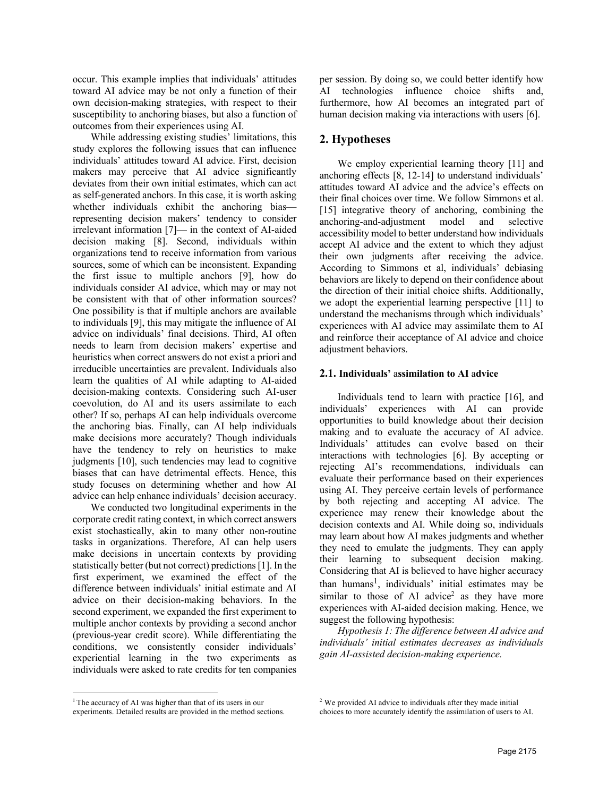occur. This example implies that individuals' attitudes toward AI advice may be not only a function of their own decision-making strategies, with respect to their susceptibility to anchoring biases, but also a function of outcomes from their experiences using AI.

While addressing existing studies' limitations, this study explores the following issues that can influence individuals' attitudes toward AI advice. First, decision makers may perceive that AI advice significantly deviates from their own initial estimates, which can act as self-generated anchors. In this case, it is worth asking whether individuals exhibit the anchoring bias representing decision makers' tendency to consider irrelevant information [7]— in the context of AI-aided decision making [8]. Second, individuals within organizations tend to receive information from various sources, some of which can be inconsistent. Expanding the first issue to multiple anchors [9], how do individuals consider AI advice, which may or may not be consistent with that of other information sources? One possibility is that if multiple anchors are available to individuals [9], this may mitigate the influence of AI advice on individuals' final decisions. Third, AI often needs to learn from decision makers' expertise and heuristics when correct answers do not exist a priori and irreducible uncertainties are prevalent. Individuals also learn the qualities of AI while adapting to AI-aided decision-making contexts. Considering such AI-user coevolution, do AI and its users assimilate to each other? If so, perhaps AI can help individuals overcome the anchoring bias. Finally, can AI help individuals make decisions more accurately? Though individuals have the tendency to rely on heuristics to make judgments [10], such tendencies may lead to cognitive biases that can have detrimental effects. Hence, this study focuses on determining whether and how AI advice can help enhance individuals' decision accuracy.

We conducted two longitudinal experiments in the corporate credit rating context, in which correct answers exist stochastically, akin to many other non-routine tasks in organizations. Therefore, AI can help users make decisions in uncertain contexts by providing statistically better (but not correct) predictions [1]. In the first experiment, we examined the effect of the difference between individuals' initial estimate and AI advice on their decision-making behaviors. In the second experiment, we expanded the first experiment to multiple anchor contexts by providing a second anchor (previous-year credit score). While differentiating the conditions, we consistently consider individuals' experiential learning in the two experiments as individuals were asked to rate credits for ten companies per session. By doing so, we could better identify how AI technologies influence choice shifts and, furthermore, how AI becomes an integrated part of human decision making via interactions with users [6].

# **2. Hypotheses**

We employ experiential learning theory [11] and anchoring effects [8, 12-14] to understand individuals' attitudes toward AI advice and the advice's effects on their final choices over time. We follow Simmons et al. [15] integrative theory of anchoring, combining the anchoring-and-adjustment model and selective accessibility model to better understand how individuals accept AI advice and the extent to which they adjust their own judgments after receiving the advice. According to Simmons et al, individuals' debiasing behaviors are likely to depend on their confidence about the direction of their initial choice shifts. Additionally, we adopt the experiential learning perspective [11] to understand the mechanisms through which individuals' experiences with AI advice may assimilate them to AI and reinforce their acceptance of AI advice and choice adjustment behaviors.

### **2.1. Individuals'** a**ssimilation to AI** a**dvice**

Individuals tend to learn with practice [16], and individuals' experiences with AI can provide opportunities to build knowledge about their decision making and to evaluate the accuracy of AI advice. Individuals' attitudes can evolve based on their interactions with technologies [6]. By accepting or rejecting AI's recommendations, individuals can evaluate their performance based on their experiences using AI. They perceive certain levels of performance by both rejecting and accepting AI advice. The experience may renew their knowledge about the decision contexts and AI. While doing so, individuals may learn about how AI makes judgments and whether they need to emulate the judgments. They can apply their learning to subsequent decision making. Considering that AI is believed to have higher accuracy than humans<sup>1</sup>, individuals' initial estimates may be similar to those of AI advice<sup>2</sup> as they have more experiences with AI-aided decision making. Hence, we suggest the following hypothesis:

*Hypothesis 1: The difference between AI advice and individuals' initial estimates decreases as individuals gain AI-assisted decision-making experience.*

<sup>&</sup>lt;sup>1</sup> The accuracy of AI was higher than that of its users in our

experiments. Detailed results are provided in the method sections.

<sup>&</sup>lt;sup>2</sup> We provided AI advice to individuals after they made initial

choices to more accurately identify the assimilation of users to AI.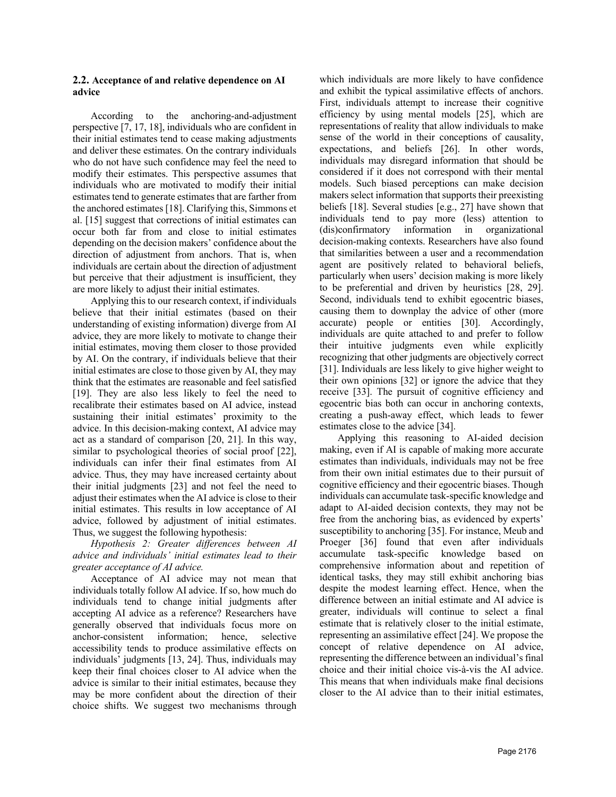## **2.2. Acceptance of and relative dependence on AI advice**

According to the anchoring-and-adjustment perspective [7, 17, 18], individuals who are confident in their initial estimates tend to cease making adjustments and deliver these estimates. On the contrary individuals who do not have such confidence may feel the need to modify their estimates. This perspective assumes that individuals who are motivated to modify their initial estimates tend to generate estimates that are farther from the anchored estimates [18]. Clarifying this, Simmons et al. [15] suggest that corrections of initial estimates can occur both far from and close to initial estimates depending on the decision makers' confidence about the direction of adjustment from anchors. That is, when individuals are certain about the direction of adjustment but perceive that their adjustment is insufficient, they are more likely to adjust their initial estimates.

Applying this to our research context, if individuals believe that their initial estimates (based on their understanding of existing information) diverge from AI advice, they are more likely to motivate to change their initial estimates, moving them closer to those provided by AI. On the contrary, if individuals believe that their initial estimates are close to those given by AI, they may think that the estimates are reasonable and feel satisfied [19]. They are also less likely to feel the need to recalibrate their estimates based on AI advice, instead sustaining their initial estimates' proximity to the advice. In this decision-making context, AI advice may act as a standard of comparison [20, 21]. In this way, similar to psychological theories of social proof [22], individuals can infer their final estimates from AI advice. Thus, they may have increased certainty about their initial judgments [23] and not feel the need to adjust their estimates when the AI advice is close to their initial estimates. This results in low acceptance of AI advice, followed by adjustment of initial estimates. Thus, we suggest the following hypothesis:

*Hypothesis 2: Greater differences between AI advice and individuals' initial estimates lead to their greater acceptance of AI advice.*

Acceptance of AI advice may not mean that individuals totally follow AI advice. If so, how much do individuals tend to change initial judgments after accepting AI advice as a reference? Researchers have generally observed that individuals focus more on anchor-consistent information; hence, selective accessibility tends to produce assimilative effects on individuals' judgments [13, 24]. Thus, individuals may keep their final choices closer to AI advice when the advice is similar to their initial estimates, because they may be more confident about the direction of their choice shifts. We suggest two mechanisms through which individuals are more likely to have confidence and exhibit the typical assimilative effects of anchors. First, individuals attempt to increase their cognitive efficiency by using mental models [25], which are representations of reality that allow individuals to make sense of the world in their conceptions of causality, expectations, and beliefs [26]. In other words, individuals may disregard information that should be considered if it does not correspond with their mental models. Such biased perceptions can make decision makers select information that supports their preexisting beliefs [18]. Several studies [e.g., 27] have shown that individuals tend to pay more (less) attention to (dis)confirmatory information in organizational decision-making contexts. Researchers have also found that similarities between a user and a recommendation agent are positively related to behavioral beliefs, particularly when users' decision making is more likely to be preferential and driven by heuristics [28, 29]. Second, individuals tend to exhibit egocentric biases, causing them to downplay the advice of other (more accurate) people or entities [30]. Accordingly, individuals are quite attached to and prefer to follow their intuitive judgments even while explicitly recognizing that other judgments are objectively correct [31]. Individuals are less likely to give higher weight to their own opinions [32] or ignore the advice that they receive [33]. The pursuit of cognitive efficiency and egocentric bias both can occur in anchoring contexts, creating a push-away effect, which leads to fewer estimates close to the advice [34].

Applying this reasoning to AI-aided decision making, even if AI is capable of making more accurate estimates than individuals, individuals may not be free from their own initial estimates due to their pursuit of cognitive efficiency and their egocentric biases. Though individuals can accumulate task-specific knowledge and adapt to AI-aided decision contexts, they may not be free from the anchoring bias, as evidenced by experts' susceptibility to anchoring [35]. For instance, Meub and Proeger [36] found that even after individuals accumulate task-specific knowledge based on comprehensive information about and repetition of identical tasks, they may still exhibit anchoring bias despite the modest learning effect. Hence, when the difference between an initial estimate and AI advice is greater, individuals will continue to select a final estimate that is relatively closer to the initial estimate, representing an assimilative effect [24]. We propose the concept of relative dependence on AI advice, representing the difference between an individual's final choice and their initial choice vis-à-vis the AI advice. This means that when individuals make final decisions closer to the AI advice than to their initial estimates,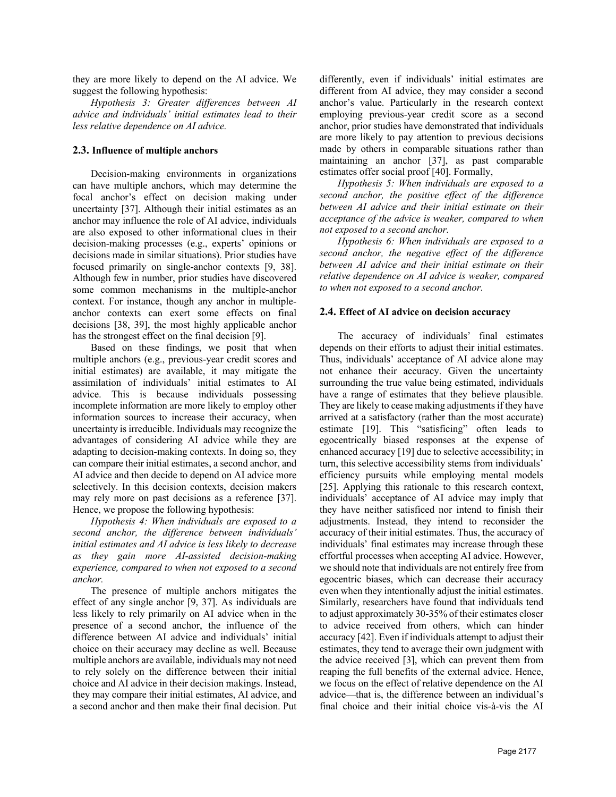they are more likely to depend on the AI advice. We suggest the following hypothesis:

*Hypothesis 3: Greater differences between AI advice and individuals' initial estimates lead to their less relative dependence on AI advice.*

#### **2.3. Influence of multiple anchors**

Decision-making environments in organizations can have multiple anchors, which may determine the focal anchor's effect on decision making under uncertainty [37]. Although their initial estimates as an anchor may influence the role of AI advice, individuals are also exposed to other informational clues in their decision-making processes (e.g., experts' opinions or decisions made in similar situations). Prior studies have focused primarily on single-anchor contexts [9, 38]. Although few in number, prior studies have discovered some common mechanisms in the multiple-anchor context. For instance, though any anchor in multipleanchor contexts can exert some effects on final decisions [38, 39], the most highly applicable anchor has the strongest effect on the final decision [9].

Based on these findings, we posit that when multiple anchors (e.g., previous-year credit scores and initial estimates) are available, it may mitigate the assimilation of individuals' initial estimates to AI advice. This is because individuals possessing incomplete information are more likely to employ other information sources to increase their accuracy, when uncertainty is irreducible. Individuals may recognize the advantages of considering AI advice while they are adapting to decision-making contexts. In doing so, they can compare their initial estimates, a second anchor, and AI advice and then decide to depend on AI advice more selectively. In this decision contexts, decision makers may rely more on past decisions as a reference [37]. Hence, we propose the following hypothesis:

*Hypothesis 4: When individuals are exposed to a second anchor, the difference between individuals' initial estimates and AI advice is less likely to decrease as they gain more AI-assisted decision-making experience, compared to when not exposed to a second anchor.*

The presence of multiple anchors mitigates the effect of any single anchor [9, 37]. As individuals are less likely to rely primarily on AI advice when in the presence of a second anchor, the influence of the difference between AI advice and individuals' initial choice on their accuracy may decline as well. Because multiple anchors are available, individuals may not need to rely solely on the difference between their initial choice and AI advice in their decision makings. Instead, they may compare their initial estimates, AI advice, and a second anchor and then make their final decision. Put differently, even if individuals' initial estimates are different from AI advice, they may consider a second anchor's value. Particularly in the research context employing previous-year credit score as a second anchor, prior studies have demonstrated that individuals are more likely to pay attention to previous decisions made by others in comparable situations rather than maintaining an anchor [37], as past comparable estimates offer social proof [40]. Formally,

*Hypothesis 5: When individuals are exposed to a second anchor, the positive effect of the difference between AI advice and their initial estimate on their acceptance of the advice is weaker, compared to when not exposed to a second anchor.* 

*Hypothesis 6: When individuals are exposed to a second anchor, the negative effect of the difference between AI advice and their initial estimate on their relative dependence on AI advice is weaker, compared to when not exposed to a second anchor.*

#### **2.4. Effect of AI advice on decision accuracy**

The accuracy of individuals' final estimates depends on their efforts to adjust their initial estimates. Thus, individuals' acceptance of AI advice alone may not enhance their accuracy. Given the uncertainty surrounding the true value being estimated, individuals have a range of estimates that they believe plausible. They are likely to cease making adjustments if they have arrived at a satisfactory (rather than the most accurate) estimate [19]. This "satisficing" often leads to egocentrically biased responses at the expense of enhanced accuracy [19] due to selective accessibility; in turn, this selective accessibility stems from individuals' efficiency pursuits while employing mental models [25]. Applying this rationale to this research context, individuals' acceptance of AI advice may imply that they have neither satisficed nor intend to finish their adjustments. Instead, they intend to reconsider the accuracy of their initial estimates. Thus, the accuracy of individuals' final estimates may increase through these effortful processes when accepting AI advice. However, we should note that individuals are not entirely free from egocentric biases, which can decrease their accuracy even when they intentionally adjust the initial estimates. Similarly, researchers have found that individuals tend to adjust approximately 30-35% of their estimates closer to advice received from others, which can hinder accuracy [42]. Even if individuals attempt to adjust their estimates, they tend to average their own judgment with the advice received [3], which can prevent them from reaping the full benefits of the external advice. Hence, we focus on the effect of relative dependence on the AI advice—that is, the difference between an individual's final choice and their initial choice vis-à-vis the AI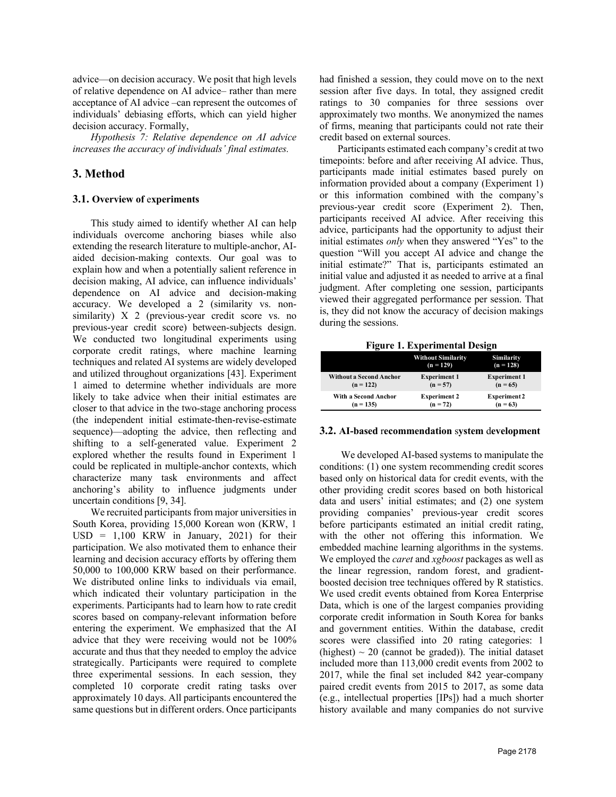advice—on decision accuracy. We posit that high levels of relative dependence on AI advice– rather than mere acceptance of AI advice –can represent the outcomes of individuals' debiasing efforts, which can yield higher decision accuracy. Formally,

*Hypothesis 7: Relative dependence on AI advice increases the accuracy of individuals' final estimates.*

# **3. Method**

### **3.1. Overview of** e**xperiments**

This study aimed to identify whether AI can help individuals overcome anchoring biases while also extending the research literature to multiple-anchor, AIaided decision-making contexts. Our goal was to explain how and when a potentially salient reference in decision making, AI advice, can influence individuals' dependence on AI advice and decision-making accuracy. We developed a 2 (similarity vs. nonsimilarity) X 2 (previous-year credit score vs. no previous-year credit score) between-subjects design. We conducted two longitudinal experiments using corporate credit ratings, where machine learning techniques and related AI systems are widely developed and utilized throughout organizations [43]. Experiment 1 aimed to determine whether individuals are more likely to take advice when their initial estimates are closer to that advice in the two-stage anchoring process (the independent initial estimate-then-revise-estimate sequence)—adopting the advice, then reflecting and shifting to a self-generated value. Experiment 2 explored whether the results found in Experiment 1 could be replicated in multiple-anchor contexts, which characterize many task environments and affect anchoring's ability to influence judgments under uncertain conditions [9, 34].

We recruited participants from major universities in South Korea, providing 15,000 Korean won (KRW, 1  $USD = 1,100$  KRW in January, 2021) for their participation. We also motivated them to enhance their learning and decision accuracy efforts by offering them 50,000 to 100,000 KRW based on their performance. We distributed online links to individuals via email, which indicated their voluntary participation in the experiments. Participants had to learn how to rate credit scores based on company-relevant information before entering the experiment. We emphasized that the AI advice that they were receiving would not be 100% accurate and thus that they needed to employ the advice strategically. Participants were required to complete three experimental sessions. In each session, they completed 10 corporate credit rating tasks over approximately 10 days. All participants encountered the same questions but in different orders. Once participants had finished a session, they could move on to the next session after five days. In total, they assigned credit ratings to 30 companies for three sessions over approximately two months. We anonymized the names of firms, meaning that participants could not rate their credit based on external sources.

Participants estimated each company's credit at two timepoints: before and after receiving AI advice. Thus, participants made initial estimates based purely on information provided about a company (Experiment 1) or this information combined with the company's previous-year credit score (Experiment 2). Then, participants received AI advice. After receiving this advice, participants had the opportunity to adjust their initial estimates *only* when they answered "Yes" to the question "Will you accept AI advice and change the initial estimate?" That is, participants estimated an initial value and adjusted it as needed to arrive at a final judgment. After completing one session, participants viewed their aggregated performance per session. That is, they did not know the accuracy of decision makings during the sessions.

| <b>Figure 1. Experimental Design</b> |  |  |
|--------------------------------------|--|--|
|                                      |  |  |

|                                | <b>Without Similarity</b><br>$(n = 129)$ | Similarity<br>$(n = 128)$ |
|--------------------------------|------------------------------------------|---------------------------|
| <b>Without a Second Anchor</b> | <b>Experiment 1</b>                      | <b>Experiment 1</b>       |
| $(n = 122)$                    | $(n = 57)$                               | $(n = 65)$                |
| With a Second Anchor           | <b>Experiment 2</b>                      | <b>Experiment2</b>        |
| $(n = 135)$                    | $(n = 72)$                               | $(n = 63)$                |

### **3.2. AI-based** r**ecommendation** s**ystem** d**evelopment**

We developed AI-based systems to manipulate the conditions: (1) one system recommending credit scores based only on historical data for credit events, with the other providing credit scores based on both historical data and users' initial estimates; and (2) one system providing companies' previous-year credit scores before participants estimated an initial credit rating, with the other not offering this information. We embedded machine learning algorithms in the systems. We employed the *caret* and *xgboost* packages as well as the linear regression, random forest, and gradientboosted decision tree techniques offered by R statistics. We used credit events obtained from Korea Enterprise Data, which is one of the largest companies providing corporate credit information in South Korea for banks and government entities. Within the database, credit scores were classified into 20 rating categories: 1 (highest)  $\sim$  20 (cannot be graded)). The initial dataset included more than 113,000 credit events from 2002 to 2017, while the final set included 842 year-company paired credit events from 2015 to 2017, as some data (e.g., intellectual properties [IPs]) had a much shorter history available and many companies do not survive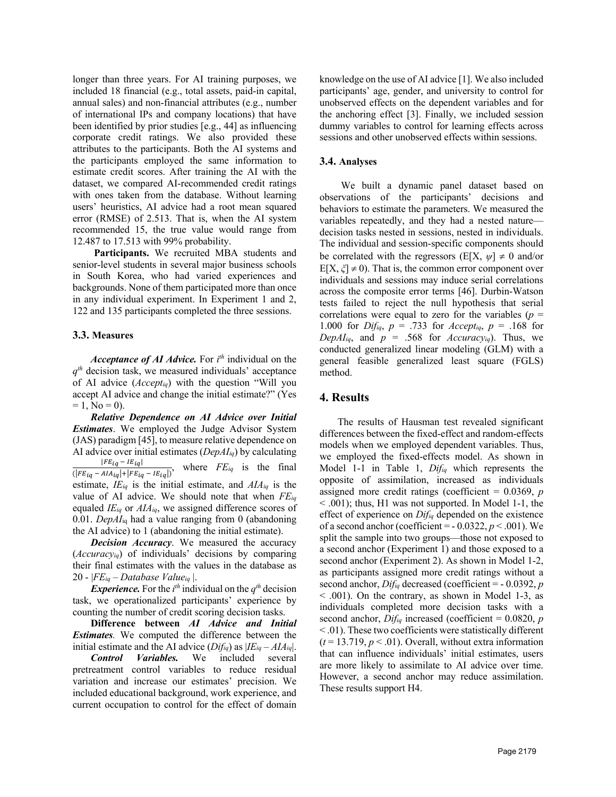longer than three years. For AI training purposes, we included 18 financial (e.g., total assets, paid-in capital, annual sales) and non-financial attributes (e.g., number of international IPs and company locations) that have been identified by prior studies [e.g., 44] as influencing corporate credit ratings. We also provided these attributes to the participants. Both the AI systems and the participants employed the same information to estimate credit scores. After training the AI with the dataset, we compared AI-recommended credit ratings with ones taken from the database. Without learning users' heuristics, AI advice had a root mean squared error (RMSE) of 2.513. That is, when the AI system recommended 15, the true value would range from 12.487 to 17.513 with 99% probability.

**Participants.** We recruited MBA students and senior-level students in several major business schools in South Korea, who had varied experiences and backgrounds. None of them participated more than once in any individual experiment. In Experiment 1 and 2, 122 and 135 participants completed the three sessions.

#### **3.3. Measures**

*Acceptance of AI Advice.* For *i th* individual on the  $q<sup>th</sup>$  decision task, we measured individuals' acceptance of AI advice (*Acceptiq*) with the question "Will you accept AI advice and change the initial estimate?" (Yes  $= 1$ , No  $= 0$ ).

*Relative Dependence on AI Advice over Initial Estimates*. We employed the Judge Advisor System (JAS) paradigm [45], to measure relative dependence on AI advice over initial estimates (*DepAIiq*) by calculating  $|FE_{iq} - IE_{iq}|$  $\frac{P_{i}E_{iq} - E_{iq}}{(|FE_{iq} - AIA_{iq}| + |FE_{iq} - IE_{iq}|)}$ , where  $FE_{iq}$  is the final estimate, *IEiq* is the initial estimate, and *AIAiq* is the value of AI advice. We should note that when *FEiq* equaled *IEiq* or *AIAiq*, we assigned difference scores of 0.01. *DepAI*iq had a value ranging from 0 (abandoning the AI advice) to 1 (abandoning the initial estimate).

*Decision Accuracy*. We measured the accuracy (*Accuracyiq*) of individuals' decisions by comparing their final estimates with the values in the database as 20 - |*FEiq – Database Valueiq* |.

*Experience.* For the  $i^{th}$  individual on the  $q^{th}$  decision task, we operationalized participants' experience by counting the number of credit scoring decision tasks.

**Difference between** *AI Advice and Initial Estimates.* We computed the difference between the initial estimate and the AI advice  $(Dif_{iq})$  as  $|IE_{iq} - AIA_{iq}|$ .

*Control Variables.* We included several pretreatment control variables to reduce residual variation and increase our estimates' precision. We included educational background, work experience, and current occupation to control for the effect of domain

knowledge on the use of AI advice [1]. We also included participants' age, gender, and university to control for unobserved effects on the dependent variables and for the anchoring effect [3]. Finally, we included session dummy variables to control for learning effects across sessions and other unobserved effects within sessions.

#### **3.4. Analyses**

We built a dynamic panel dataset based on observations of the participants' decisions and behaviors to estimate the parameters. We measured the variables repeatedly, and they had a nested nature decision tasks nested in sessions, nested in individuals. The individual and session-specific components should be correlated with the regressors ( $E[X, \psi] \neq 0$  and/or  $E[X, \zeta] \neq 0$ ). That is, the common error component over individuals and sessions may induce serial correlations across the composite error terms [46]. Durbin-Watson tests failed to reject the null hypothesis that serial correlations were equal to zero for the variables  $(p =$ 1.000 for *Difiq*, *p* = .733 for *Acceptiq*, *p* = .168 for *DepAI<sub>iq</sub>*, and  $p = .568$  for *Accuracy<sub>iq</sub>*). Thus, we conducted generalized linear modeling (GLM) with a general feasible generalized least square (FGLS) method.

#### **4. Results**

The results of Hausman test revealed significant differences between the fixed-effect and random-effects models when we employed dependent variables. Thus, we employed the fixed-effects model. As shown in Model 1-1 in Table 1, *Difiq* which represents the opposite of assimilation, increased as individuals assigned more credit ratings (coefficient = 0.0369, *p* < .001); thus, H1 was not supported. In Model 1-1, the effect of experience on *Difiq* depended on the existence of a second anchor (coefficient =  $-0.0322, p \le 0.001$ ). We split the sample into two groups—those not exposed to a second anchor (Experiment 1) and those exposed to a second anchor (Experiment 2). As shown in Model 1-2, as participants assigned more credit ratings without a second anchor, *Difiq* decreased (coefficient = - 0.0392, *p* < .001). On the contrary, as shown in Model 1-3, as individuals completed more decision tasks with a second anchor, *Difiq* increased (coefficient = 0.0820, *p* < .01). These two coefficients were statistically different  $(t = 13.719, p < .01)$ . Overall, without extra information that can influence individuals' initial estimates, users are more likely to assimilate to AI advice over time. However, a second anchor may reduce assimilation. These results support H4.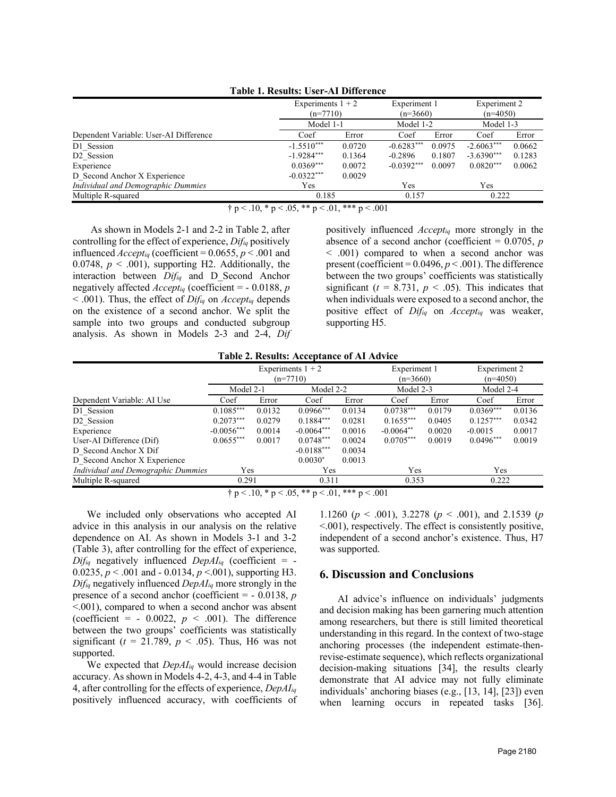| Table 1. Results: User-Al Difference   |                                   |           |                            |           |                            |        |  |  |  |
|----------------------------------------|-----------------------------------|-----------|----------------------------|-----------|----------------------------|--------|--|--|--|
|                                        | Experiments $1 + 2$<br>$(n=7710)$ |           | Experiment 1<br>$(n=3660)$ |           | Experiment 2<br>$(n=4050)$ |        |  |  |  |
|                                        | Model 1-1                         | Model 1-2 |                            | Model 1-3 |                            |        |  |  |  |
| Dependent Variable: User-AI Difference | Coef                              | Error     | Coef                       | Error     | Coef                       | Error  |  |  |  |
| D1 Session                             | $-1.5510***$                      | 0.0720    | $-0.6283***$               | 0.0975    | $-2.6063***$               | 0.0662 |  |  |  |
| D <sub>2</sub> Session                 | $-1.9284***$                      | 0.1364    | $-0.2896$                  | 0.1807    | $-3.6390***$               | 0.1283 |  |  |  |
| Experience                             | $0.0369***$                       | 0.0072    | $-0.0392***$               | 0.0097    | $0.0820***$                | 0.0062 |  |  |  |
| D Second Anchor X Experience           | $-0.0322***$                      | 0.0029    |                            |           |                            |        |  |  |  |
| Individual and Demographic Dummies     | Yes                               |           | Yes                        |           | Yes                        |        |  |  |  |
| Multiple R-squared                     | 0.185                             |           | 0.222                      |           |                            |        |  |  |  |

**Table 1. Results: User-AI Difference**

 $\dagger$  p < .10, \* p < .05, \*\* p < .01, \*\*\* p < .001

As shown in Models 2-1 and 2-2 in Table 2, after controlling for the effect of experience, *Difiq* positively influenced  $Accept_{iq}$  (coefficient = 0.0655,  $p < .001$  and 0.0748,  $p < .001$ ), supporting H2. Additionally, the interaction between *Difiq* and D\_Second Anchor negatively affected *Acceptiq* (coefficient = - 0.0188, *p* < .001). Thus, the effect of *Difiq* on *Acceptiq* depends on the existence of a second anchor. We split the sample into two groups and conducted subgroup analysis. As shown in Models 2-3 and 2-4, *Dif* positively influenced *Acceptiq* more strongly in the absence of a second anchor (coefficient = 0.0705, *p* < .001) compared to when a second anchor was present (coefficient = 0.0496, *p* < .001). The difference between the two groups' coefficients was statistically significant ( $t = 8.731$ ,  $p < .05$ ). This indicates that when individuals were exposed to a second anchor, the positive effect of *Difiq* on *Acceptiq* was weaker, supporting H5.

|  | <b>Table 2. Results: Acceptance of AI Advice</b> |
|--|--------------------------------------------------|
|--|--------------------------------------------------|

|                                                         |              |        | Experiments $1 + 2$<br>$(n=7710)$ |        | Experiment 1<br>$(n=3660)$ |        | Experiment 2<br>$(n=4050)$ |        |  |
|---------------------------------------------------------|--------------|--------|-----------------------------------|--------|----------------------------|--------|----------------------------|--------|--|
|                                                         | Model 2-1    |        | Model 2-2                         |        | Model 2-3                  |        | Model 2-4                  |        |  |
| Dependent Variable: AI Use                              | Coef         | Error  | Coef                              | Error  | Coef                       | Error  | Coef                       | Error  |  |
| D1 Session                                              | $0.1085***$  | 0.0132 | $0.0966***$                       | 0.0134 | $0.0738***$                | 0.0179 | $0.0369***$                | 0.0136 |  |
| D <sub>2</sub> Session                                  | $0.2073***$  | 0.0279 | $0.1884***$                       | 0.0281 | $0.1655***$                | 0.0405 | $0.1257***$                | 0.0342 |  |
| Experience                                              | $-0.0056***$ | 0.0014 | $-0.0064***$                      | 0.0016 | $-0.0064**$                | 0.0020 | $-0.0015$                  | 0.0017 |  |
| User-AI Difference (Dif)                                | $0.0655***$  | 0.0017 | $0.0748***$                       | 0.0024 | $0.0705***$                | 0.0019 | $0.0496***$                | 0.0019 |  |
| D Second Anchor X Dif                                   |              |        | $-0.0188***$                      | 0.0034 |                            |        |                            |        |  |
| D Second Anchor X Experience                            |              |        | $0.0030*$                         | 0.0013 |                            |        |                            |        |  |
| Individual and Demographic Dummies                      | Yes          |        | Yes                               |        | Yes                        |        | Yes                        |        |  |
| Multiple R-squared                                      | 0.291        |        | 0.311                             |        | 0.353                      |        | 0.222                      |        |  |
| $\dagger p < .10$ , * p < .05, ** p < .01, *** p < .001 |              |        |                                   |        |                            |        |                            |        |  |

We included only observations who accepted AI advice in this analysis in our analysis on the relative dependence on AI. As shown in Models 3-1 and 3-2 (Table 3), after controlling for the effect of experience,  $Dif_{iq}$  negatively influenced  $DepAI_{iq}$  (coefficient = -0.0235, *p* < .001 and - 0.0134, *p* <.001), supporting H3. *Difiq* negatively influenced *DepAIiq* more strongly in the presence of a second anchor (coefficient = - 0.0138, *p* <.001), compared to when a second anchor was absent (coefficient =  $-$  0.0022,  $p \le 0.001$ ). The difference between the two groups' coefficients was statistically significant ( $t = 21.789$ ,  $p < .05$ ). Thus, H6 was not supported.

We expected that *DepAIiq* would increase decision accuracy. As shown in Models 4-2, 4-3, and 4-4 in Table 4, after controlling for the effects of experience, *DepAIiq* positively influenced accuracy, with coefficients of

1.1260 (*p* < .001), 3.2278 (*p* < .001), and 2.1539 (*p* <.001), respectively. The effect is consistently positive, independent of a second anchor's existence. Thus, H7 was supported.

### **6. Discussion and Conclusions**

AI advice's influence on individuals' judgments and decision making has been garnering much attention among researchers, but there is still limited theoretical understanding in this regard. In the context of two-stage anchoring processes (the independent estimate-thenrevise-estimate sequence), which reflects organizational decision-making situations [34], the results clearly demonstrate that AI advice may not fully eliminate individuals' anchoring biases (e.g., [13, 14], [23]) even when learning occurs in repeated tasks [36].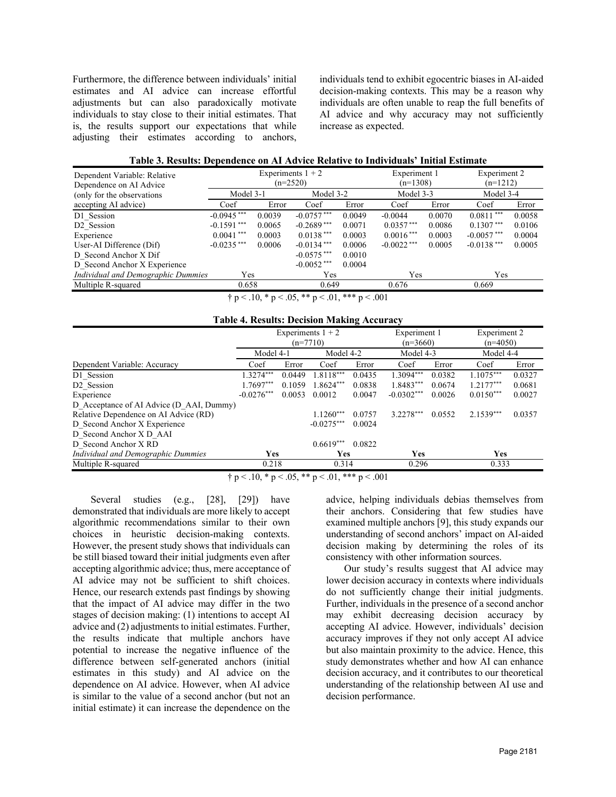Furthermore, the difference between individuals' initial estimates and AI advice can increase effortful adjustments but can also paradoxically motivate individuals to stay close to their initial estimates. That is, the results support our expectations that while adjusting their estimates according to anchors, individuals tend to exhibit egocentric biases in AI-aided decision-making contexts. This may be a reason why individuals are often unable to reap the full benefits of AI advice and why accuracy may not sufficiently increase as expected.

| Table 3. Results: Dependence on AI Advice Relative to Individuals' Initial Estimate |  |  |  |  |  |
|-------------------------------------------------------------------------------------|--|--|--|--|--|
|-------------------------------------------------------------------------------------|--|--|--|--|--|

| Dependent Variable: Relative       |               | Experiments $1 + 2$ |               |        | Experiment 1<br>$(n=1308)$ |        | Experiment 2<br>$(n=1212)$ |        |
|------------------------------------|---------------|---------------------|---------------|--------|----------------------------|--------|----------------------------|--------|
| Dependence on AI Advice            |               | $(n=2520)$          |               |        |                            |        |                            |        |
| (only for the observations)        | Model 3-1     |                     | Model 3-2     |        | Model 3-3                  |        | Model 3-4                  |        |
| accepting AI advice)               | Coef          | Error               | Coef          | Error  | Coef                       | Error  | Coef                       | Error  |
| D1 Session                         | $-0.0945$ *** | 0.0039              | $-0.0757***$  | 0.0049 | $-0.0044$                  | 0.0070 | $0.0811***$                | 0.0058 |
| D <sub>2</sub> Session             | $-0.1591$ *** | 0.0065              | $-0.2689$ *** | 0.0071 | $0.0357***$                | 0.0086 | $0.1307***$                | 0.0106 |
| Experience                         | $0.0041$ ***  | 0.0003              | $0.0138***$   | 0.0003 | $0.0016***$                | 0.0003 | $-0.0057***$               | 0.0004 |
| User-AI Difference (Dif)           | $-0.0235$ *** | 0.0006              | $-0.0134***$  | 0.0006 | $-0.0022$ ***              | 0.0005 | $-0.0138$ ***              | 0.0005 |
| D Second Anchor X Dif              |               |                     | $-0.0575$ *** | 0.0010 |                            |        |                            |        |
| D Second Anchor X Experience       |               |                     | $-0.0052$ *** | 0.0004 |                            |        |                            |        |
| Individual and Demographic Dummies | Yes           |                     | Yes           |        | Yes                        |        | Yes                        |        |
| Multiple R-squared                 | 0.658         |                     | 0.649         |        | 0.676                      |        | 0.669                      |        |
|                                    |               | .                   |               | .      |                            |        |                            |        |

 $\dagger$  p < .10, \* p < .05, \*\* p < .01, \*\*\* p < .001

| <b>Table 4. Results: Decision Making Accuracy</b> |  |
|---------------------------------------------------|--|
|---------------------------------------------------|--|

| Experiments $1 + 2$                                              |              |        |              |        | Experiment 1 |        | Experiment 2 |        |
|------------------------------------------------------------------|--------------|--------|--------------|--------|--------------|--------|--------------|--------|
|                                                                  | $(n=7710)$   |        |              |        | $(n=3660)$   |        | $(n=4050)$   |        |
|                                                                  | Model 4-1    |        | Model 4-2    |        | Model 4-3    |        | Model 4-4    |        |
| Dependent Variable: Accuracy                                     | Coef         | Error  | Coef         | Error  | Coef         | Error  | Coef         | Error  |
| D1 Session                                                       | 1.3274***    | 0.0449 | $1.8118***$  | 0.0435 | $1.3094***$  | 0.0382 | $1.1075***$  | 0.0327 |
| D <sub>2</sub> Session                                           | 1.7697***    | 0.1059 | 1.8624***    | 0.0838 | 1.8483***    | 0.0674 | $1.2177***$  | 0.0681 |
| Experience                                                       | $-0.0276***$ | 0.0053 | 0.0012       | 0.0047 | $-0.0302***$ | 0.0026 | $0.0150***$  | 0.0027 |
| D Acceptance of AI Advice (D AAI, Dummy)                         |              |        |              |        |              |        |              |        |
| Relative Dependence on AI Advice (RD)                            |              |        | $1.1260***$  | 0.0757 | 3.2278***    | 0.0552 | $2.1539***$  | 0.0357 |
| D Second Anchor X Experience                                     |              |        | $-0.0275***$ | 0.0024 |              |        |              |        |
| D Second Anchor X D AAI                                          |              |        |              |        |              |        |              |        |
| D Second Anchor X RD                                             |              |        | $0.6619***$  | 0.0822 |              |        |              |        |
| Individual and Demographic Dummies                               | Yes          |        | <b>Yes</b>   |        | <b>Yes</b>   |        | Yes          |        |
| Multiple R-squared                                               | 0.218        |        | 0.314        |        | 0.296        |        | 0.333        |        |
| $\pm n$ / 10 $\pm n$ / 05 $\pm \pm n$ / 01 $\pm \pm \pm n$ / 001 |              |        |              |        |              |        |              |        |

† p < .10, \* p < .05, \*\* p < .01, \*\*\* p < .001

Several studies (e.g., [28], [29]) have demonstrated that individuals are more likely to accept algorithmic recommendations similar to their own choices in heuristic decision-making contexts. However, the present study shows that individuals can be still biased toward their initial judgments even after accepting algorithmic advice; thus, mere acceptance of AI advice may not be sufficient to shift choices. Hence, our research extends past findings by showing that the impact of AI advice may differ in the two stages of decision making: (1) intentions to accept AI advice and (2) adjustments to initial estimates. Further, the results indicate that multiple anchors have potential to increase the negative influence of the difference between self-generated anchors (initial estimates in this study) and AI advice on the dependence on AI advice. However, when AI advice is similar to the value of a second anchor (but not an initial estimate) it can increase the dependence on the

advice, helping individuals debias themselves from their anchors. Considering that few studies have examined multiple anchors [9], this study expands our understanding of second anchors' impact on AI-aided decision making by determining the roles of its consistency with other information sources.

Our study's results suggest that AI advice may lower decision accuracy in contexts where individuals do not sufficiently change their initial judgments. Further, individuals in the presence of a second anchor may exhibit decreasing decision accuracy by accepting AI advice. However, individuals' decision accuracy improves if they not only accept AI advice but also maintain proximity to the advice. Hence, this study demonstrates whether and how AI can enhance decision accuracy, and it contributes to our theoretical understanding of the relationship between AI use and decision performance.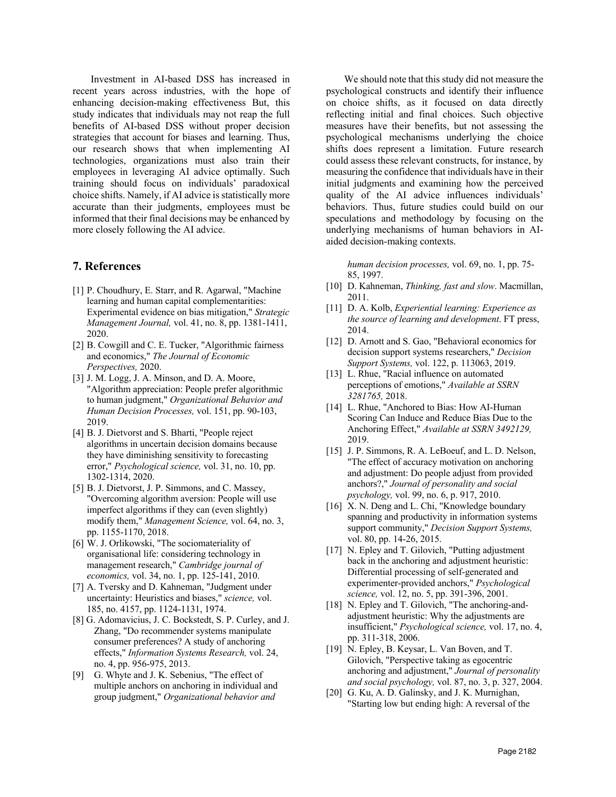Investment in AI-based DSS has increased in recent years across industries, with the hope of enhancing decision-making effectiveness But, this study indicates that individuals may not reap the full benefits of AI-based DSS without proper decision strategies that account for biases and learning. Thus, our research shows that when implementing AI technologies, organizations must also train their employees in leveraging AI advice optimally. Such training should focus on individuals' paradoxical choice shifts. Namely, if AI advice is statistically more accurate than their judgments, employees must be informed that their final decisions may be enhanced by more closely following the AI advice.

# **7. References**

- [1] P. Choudhury, E. Starr, and R. Agarwal, "Machine learning and human capital complementarities: Experimental evidence on bias mitigation," *Strategic Management Journal,* vol. 41, no. 8, pp. 1381-1411, 2020.
- [2] B. Cowgill and C. E. Tucker, "Algorithmic fairness and economics," *The Journal of Economic Perspectives,* 2020.
- [3] J. M. Logg, J. A. Minson, and D. A. Moore, "Algorithm appreciation: People prefer algorithmic to human judgment," *Organizational Behavior and Human Decision Processes,* vol. 151, pp. 90-103, 2019.
- [4] B. J. Dietvorst and S. Bharti, "People reject algorithms in uncertain decision domains because they have diminishing sensitivity to forecasting error," *Psychological science,* vol. 31, no. 10, pp. 1302-1314, 2020.
- [5] B. J. Dietvorst, J. P. Simmons, and C. Massey, "Overcoming algorithm aversion: People will use imperfect algorithms if they can (even slightly) modify them," *Management Science,* vol. 64, no. 3, pp. 1155-1170, 2018.
- [6] W. J. Orlikowski, "The sociomateriality of organisational life: considering technology in management research," *Cambridge journal of economics,* vol. 34, no. 1, pp. 125-141, 2010.
- [7] A. Tversky and D. Kahneman, "Judgment under uncertainty: Heuristics and biases," *science,* vol. 185, no. 4157, pp. 1124-1131, 1974.
- [8] G. Adomavicius, J. C. Bockstedt, S. P. Curley, and J. Zhang, "Do recommender systems manipulate consumer preferences? A study of anchoring effects," *Information Systems Research,* vol. 24, no. 4, pp. 956-975, 2013.
- [9] G. Whyte and J. K. Sebenius, "The effect of multiple anchors on anchoring in individual and group judgment," *Organizational behavior and*

We should note that this study did not measure the psychological constructs and identify their influence on choice shifts, as it focused on data directly reflecting initial and final choices. Such objective measures have their benefits, but not assessing the psychological mechanisms underlying the choice shifts does represent a limitation. Future research could assess these relevant constructs, for instance, by measuring the confidence that individuals have in their initial judgments and examining how the perceived quality of the AI advice influences individuals' behaviors. Thus, future studies could build on our speculations and methodology by focusing on the underlying mechanisms of human behaviors in AIaided decision-making contexts.

*human decision processes,* vol. 69, no. 1, pp. 75- 85, 1997.

- [10] D. Kahneman, *Thinking, fast and slow*. Macmillan, 2011.
- [11] D. A. Kolb, *Experiential learning: Experience as the source of learning and development*. FT press, 2014.
- [12] D. Arnott and S. Gao, "Behavioral economics for decision support systems researchers," *Decision Support Systems,* vol. 122, p. 113063, 2019.
- [13] L. Rhue, "Racial influence on automated perceptions of emotions," *Available at SSRN 3281765,* 2018.
- [14] L. Rhue, "Anchored to Bias: How AI-Human Scoring Can Induce and Reduce Bias Due to the Anchoring Effect," *Available at SSRN 3492129,*  2019.
- [15] J. P. Simmons, R. A. LeBoeuf, and L. D. Nelson, "The effect of accuracy motivation on anchoring and adjustment: Do people adjust from provided anchors?," *Journal of personality and social psychology,* vol. 99, no. 6, p. 917, 2010.
- [16] X. N. Deng and L. Chi, "Knowledge boundary spanning and productivity in information systems support community," *Decision Support Systems,*  vol. 80, pp. 14-26, 2015.
- [17] N. Epley and T. Gilovich, "Putting adjustment" back in the anchoring and adjustment heuristic: Differential processing of self-generated and experimenter-provided anchors," *Psychological science,* vol. 12, no. 5, pp. 391-396, 2001.
- [18] N. Epley and T. Gilovich, "The anchoring-andadjustment heuristic: Why the adjustments are insufficient," *Psychological science,* vol. 17, no. 4, pp. 311-318, 2006.
- [19] N. Epley, B. Keysar, L. Van Boven, and T. Gilovich, "Perspective taking as egocentric anchoring and adjustment," *Journal of personality and social psychology,* vol. 87, no. 3, p. 327, 2004.
- [20] G. Ku, A. D. Galinsky, and J. K. Murnighan, "Starting low but ending high: A reversal of the